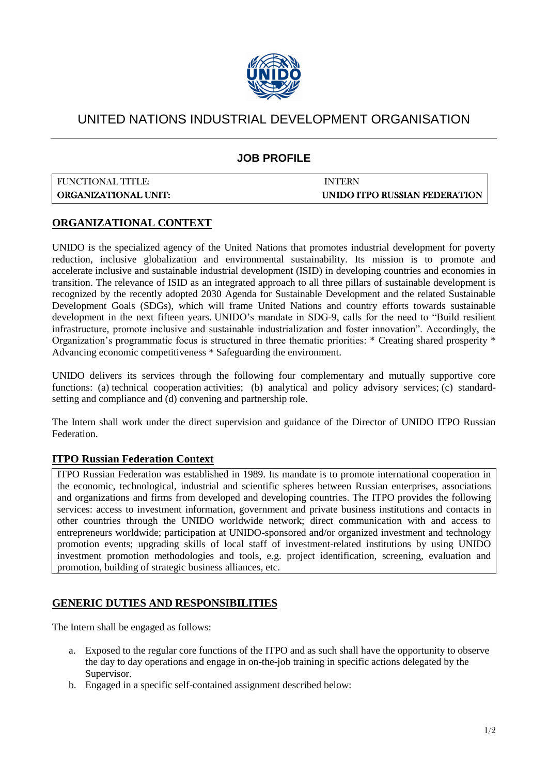

## UNITED NATIONS INDUSTRIAL DEVELOPMENT ORGANISATION

### **JOB PROFILE**

# FUNCTIONAL TITLE: INTERN

ORGANIZATIONAL UNIT: UNIDO ITPO RUSSIAN FEDERATION

#### **ORGANIZATIONAL CONTEXT**

UNIDO is the specialized agency of the United Nations that promotes industrial development for poverty reduction, inclusive globalization and environmental sustainability. Its mission is to promote and accelerate [inclusive and sustainable industrial development](http://www.unido.org/fileadmin/user_media_upgrade/Who_we_are/Structure/Director-General/ISID_Brochure_web_singlesided_12_03.pdf) (ISID) in developing countries and economies in transition. The relevance of ISID as an integrated approach to all three pillars of sustainable development is recognized by the recently adopted 2030 Agenda for Sustainable Development and the related Sustainable Development Goals (SDGs), which will frame United Nations and country efforts towards sustainable development in the next fifteen years. [UNIDO's mandate in SDG-9,](http://www.unido.org/who-we-are/unido-and-the-sdgs.html) calls for the need to "Build resilient infrastructure, promote inclusive and sustainable industrialization and foster innovation". Accordingly, the Organization's programmatic focus is structured in three thematic priorities: \* [Creating shared prosperity](http://www.unido.org/what-we-do/creating-shared-prosperity.html) \* [Advancing economic competitiveness](http://www.unido.org/what-we-do/advancing-economic-competitiveness.html) \* [Safeguarding the environment.](http://www.unido.org/environment.html)

UNIDO delivers its services through the following four complementary and mutually supportive core functions: (a) [technical cooperation](http://www.unido.org/how-we-work/technical-cooperation.html) activities; (b) [analytical and policy advisory services;](http://www.unido.org/how-we-work/analytical-and-policy-advisory-services.html) (c) [standard](http://www.unido.org/how-we-work/standard-setting-and-compliance.html)[setting and compliance](http://www.unido.org/how-we-work/standard-setting-and-compliance.html) and (d) [convening and partnership role.](http://www.unido.org/how-we-work/partnerships-for-prosperity.html)

The Intern shall work under the direct supervision and guidance of the Director of UNIDO ITPO Russian Federation.

#### **ITPO Russian Federation Context**

ITPO Russian Federation was established in 1989. Its mandate is to promote international cooperation in the economic, technological, industrial and scientific spheres between Russian enterprises, associations and organizations and firms from developed and developing countries. The ITPO provides the following services: access to investment information, government and private business institutions and contacts in other countries through the UNIDO worldwide network; direct communication with and access to entrepreneurs worldwide; participation at UNIDO-sponsored and/or organized investment and technology promotion events; upgrading skills of local staff of investment-related institutions by using UNIDO investment promotion methodologies and tools, e.g. project identification, screening, evaluation and promotion, building of strategic business alliances, etc.

#### **GENERIC DUTIES AND RESPONSIBILITIES**

The Intern shall be engaged as follows:

- a. Exposed to the regular core functions of the ITPO and as such shall have the opportunity to observe the day to day operations and engage in on-the-job training in specific actions delegated by the Supervisor.
- b. Engaged in a specific self-contained assignment described below: